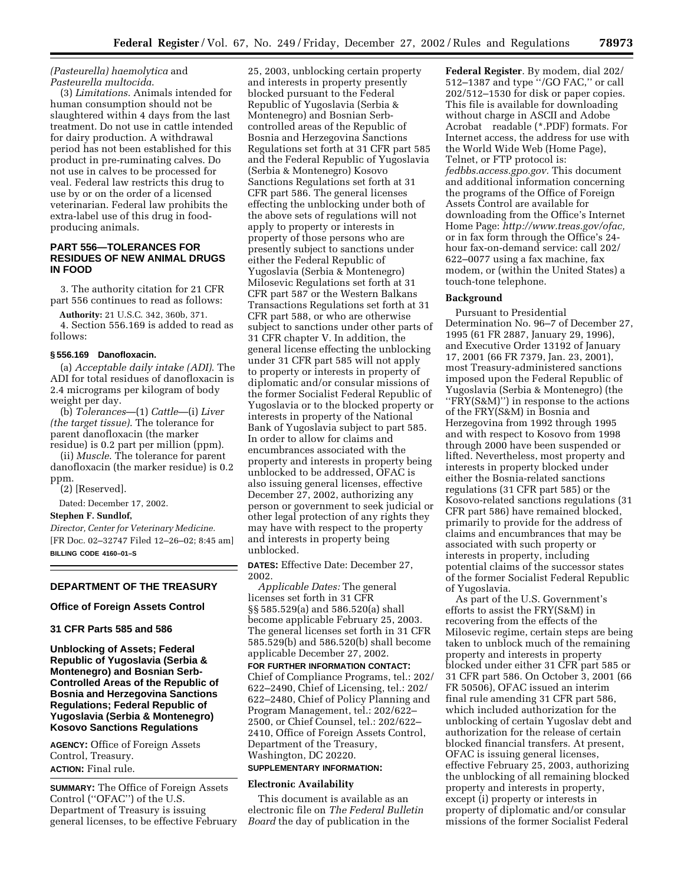### *(Pasteurella) haemolytica* and *Pasteurella multocida*.

(3) *Limitations*. Animals intended for human consumption should not be slaughtered within 4 days from the last treatment. Do not use in cattle intended for dairy production. A withdrawal period has not been established for this product in pre-ruminating calves. Do not use in calves to be processed for veal. Federal law restricts this drug to use by or on the order of a licensed veterinarian. Federal law prohibits the extra-label use of this drug in foodproducing animals.

## **PART 556—TOLERANCES FOR RESIDUES OF NEW ANIMAL DRUGS IN FOOD**

3. The authority citation for 21 CFR part 556 continues to read as follows:

**Authority:** 21 U.S.C. 342, 360b, 371. 4. Section 556.169 is added to read as follows:

#### **§ 556.169 Danofloxacin.**

(a) *Acceptable daily intake (ADI)*. The ADI for total residues of danofloxacin is 2.4 micrograms per kilogram of body weight per day.

(b) *Tolerances*—(1) *Cattle*—(i) *Liver (the target tissue)*. The tolerance for parent danofloxacin (the marker residue) is 0.2 part per million (ppm).

(ii) *Muscle*. The tolerance for parent danofloxacin (the marker residue) is 0.2 ppm.

(2) [Reserved].

Dated: December 17, 2002.

#### **Stephen F. Sundlof,**

*Director, Center for Veterinary Medicine.* [FR Doc. 02–32747 Filed 12–26–02; 8:45 am] **BILLING CODE 4160–01–S**

#### **DEPARTMENT OF THE TREASURY**

**Office of Foreign Assets Control** 

#### **31 CFR Parts 585 and 586**

**Unblocking of Assets; Federal Republic of Yugoslavia (Serbia & Montenegro) and Bosnian Serb-Controlled Areas of the Republic of Bosnia and Herzegovina Sanctions Regulations; Federal Republic of Yugoslavia (Serbia & Montenegro) Kosovo Sanctions Regulations**

**AGENCY:** Office of Foreign Assets Control, Treasury. **ACTION:** Final rule.

**SUMMARY:** The Office of Foreign Assets Control (''OFAC'') of the U.S. Department of Treasury is issuing general licenses, to be effective February

25, 2003, unblocking certain property and interests in property presently blocked pursuant to the Federal Republic of Yugoslavia (Serbia & Montenegro) and Bosnian Serbcontrolled areas of the Republic of Bosnia and Herzegovina Sanctions Regulations set forth at 31 CFR part 585 and the Federal Republic of Yugoslavia (Serbia & Montenegro) Kosovo Sanctions Regulations set forth at 31 CFR part 586. The general licenses effecting the unblocking under both of the above sets of regulations will not apply to property or interests in property of those persons who are presently subject to sanctions under either the Federal Republic of Yugoslavia (Serbia & Montenegro) Milosevic Regulations set forth at 31 CFR part 587 or the Western Balkans Transactions Regulations set forth at 31 CFR part 588, or who are otherwise subject to sanctions under other parts of 31 CFR chapter V. In addition, the general license effecting the unblocking under 31 CFR part 585 will not apply to property or interests in property of diplomatic and/or consular missions of the former Socialist Federal Republic of Yugoslavia or to the blocked property or interests in property of the National Bank of Yugoslavia subject to part 585. In order to allow for claims and encumbrances associated with the property and interests in property being unblocked to be addressed, OFAC is also issuing general licenses, effective December 27, 2002, authorizing any person or government to seek judicial or other legal protection of any rights they may have with respect to the property and interests in property being unblocked.

**DATES:** Effective Date: December 27, 2002.

*Applicable Dates:* The general licenses set forth in 31 CFR §§ 585.529(a) and 586.520(a) shall become applicable February 25, 2003. The general licenses set forth in 31 CFR 585.529(b) and 586.520(b) shall become applicable December 27, 2002.

**FOR FURTHER INFORMATION CONTACT:** Chief of Compliance Programs, tel.: 202/ 622–2490, Chief of Licensing, tel.: 202/ 622–2480, Chief of Policy Planning and Program Management, tel.: 202/622– 2500, or Chief Counsel, tel.: 202/622– 2410, Office of Foreign Assets Control, Department of the Treasury, Washington, DC 20220.

#### **SUPPLEMENTARY INFORMATION:**

#### **Electronic Availability**

This document is available as an electronic file on *The Federal Bulletin Board* the day of publication in the

**Federal Register**. By modem, dial 202/ 512–1387 and type ''/GO FAC,'' or call 202/512–1530 for disk or paper copies. This file is available for downloading without charge in ASCII and Adobe Acrobat<sup>®</sup> readable (\*.PDF) formats. For Internet access, the address for use with the World Wide Web (Home Page), Telnet, or FTP protocol is: *fedbbs.access.gpo.gov.* This document and additional information concerning the programs of the Office of Foreign Assets Control are available for downloading from the Office's Internet Home Page: *http://www.treas.gov/ofac,* or in fax form through the Office's 24 hour fax-on-demand service: call 202/ 622–0077 using a fax machine, fax modem, or (within the United States) a touch-tone telephone.

#### **Background**

Pursuant to Presidential Determination No. 96–7 of December 27, 1995 (61 FR 2887, January 29, 1996), and Executive Order 13192 of January 17, 2001 (66 FR 7379, Jan. 23, 2001), most Treasury-administered sanctions imposed upon the Federal Republic of Yugoslavia (Serbia & Montenegro) (the ''FRY(S&M)'') in response to the actions of the FRY(S&M) in Bosnia and Herzegovina from 1992 through 1995 and with respect to Kosovo from 1998 through 2000 have been suspended or lifted. Nevertheless, most property and interests in property blocked under either the Bosnia-related sanctions regulations (31 CFR part 585) or the Kosovo-related sanctions regulations (31 CFR part 586) have remained blocked, primarily to provide for the address of claims and encumbrances that may be associated with such property or interests in property, including potential claims of the successor states of the former Socialist Federal Republic of Yugoslavia.

As part of the U.S. Government's efforts to assist the FRY(S&M) in recovering from the effects of the Milosevic regime, certain steps are being taken to unblock much of the remaining property and interests in property blocked under either 31 CFR part 585 or 31 CFR part 586. On October 3, 2001 (66 FR 50506), OFAC issued an interim final rule amending 31 CFR part 586, which included authorization for the unblocking of certain Yugoslav debt and authorization for the release of certain blocked financial transfers. At present, OFAC is issuing general licenses, effective February 25, 2003, authorizing the unblocking of all remaining blocked property and interests in property, except (i) property or interests in property of diplomatic and/or consular missions of the former Socialist Federal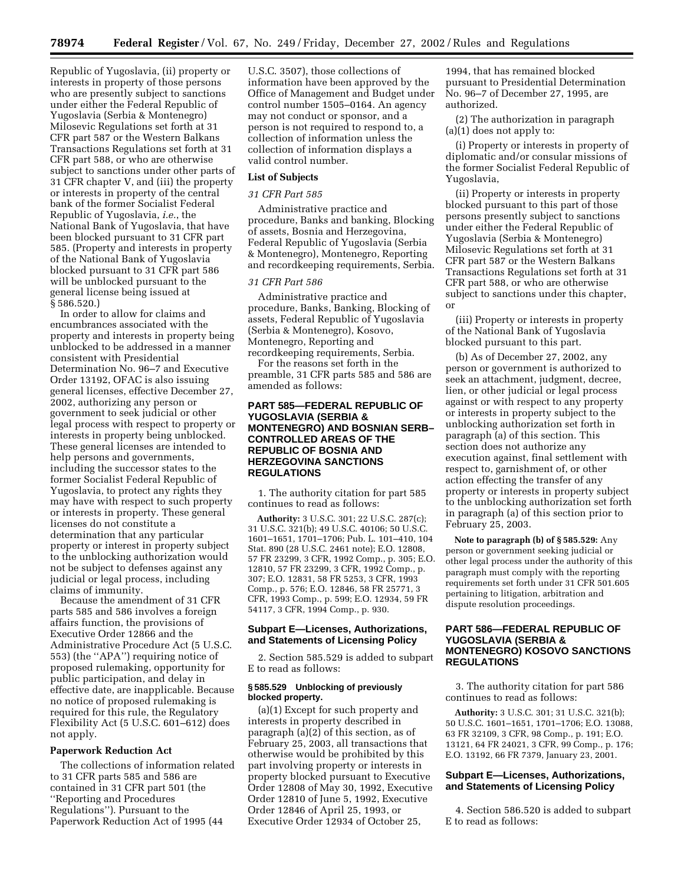Republic of Yugoslavia, (ii) property or interests in property of those persons who are presently subject to sanctions under either the Federal Republic of Yugoslavia (Serbia & Montenegro) Milosevic Regulations set forth at 31 CFR part 587 or the Western Balkans Transactions Regulations set forth at 31 CFR part 588, or who are otherwise subject to sanctions under other parts of 31 CFR chapter V, and (iii) the property or interests in property of the central bank of the former Socialist Federal Republic of Yugoslavia, *i.e.*, the National Bank of Yugoslavia, that have been blocked pursuant to 31 CFR part 585. (Property and interests in property of the National Bank of Yugoslavia blocked pursuant to 31 CFR part 586 will be unblocked pursuant to the general license being issued at § 586.520.)

In order to allow for claims and encumbrances associated with the property and interests in property being unblocked to be addressed in a manner consistent with Presidential Determination No. 96–7 and Executive Order 13192, OFAC is also issuing general licenses, effective December 27, 2002, authorizing any person or government to seek judicial or other legal process with respect to property or interests in property being unblocked. These general licenses are intended to help persons and governments, including the successor states to the former Socialist Federal Republic of Yugoslavia, to protect any rights they may have with respect to such property or interests in property. These general licenses do not constitute a determination that any particular property or interest in property subject to the unblocking authorization would not be subject to defenses against any judicial or legal process, including claims of immunity.

Because the amendment of 31 CFR parts 585 and 586 involves a foreign affairs function, the provisions of Executive Order 12866 and the Administrative Procedure Act (5 U.S.C. 553) (the ''APA'') requiring notice of proposed rulemaking, opportunity for public participation, and delay in effective date, are inapplicable. Because no notice of proposed rulemaking is required for this rule, the Regulatory Flexibility Act (5 U.S.C. 601–612) does not apply.

### **Paperwork Reduction Act**

The collections of information related to 31 CFR parts 585 and 586 are contained in 31 CFR part 501 (the ''Reporting and Procedures Regulations''). Pursuant to the Paperwork Reduction Act of 1995 (44

U.S.C. 3507), those collections of information have been approved by the Office of Management and Budget under control number 1505–0164. An agency may not conduct or sponsor, and a person is not required to respond to, a collection of information unless the collection of information displays a valid control number.

## **List of Subjects**

#### *31 CFR Part 585*

Administrative practice and procedure, Banks and banking, Blocking of assets, Bosnia and Herzegovina, Federal Republic of Yugoslavia (Serbia & Montenegro), Montenegro, Reporting and recordkeeping requirements, Serbia.

#### *31 CFR Part 586*

Administrative practice and procedure, Banks, Banking, Blocking of assets, Federal Republic of Yugoslavia (Serbia & Montenegro), Kosovo, Montenegro, Reporting and recordkeeping requirements, Serbia.

For the reasons set forth in the preamble, 31 CFR parts 585 and 586 are amended as follows:

### **PART 585—FEDERAL REPUBLIC OF YUGOSLAVIA (SERBIA & MONTENEGRO) AND BOSNIAN SERB– CONTROLLED AREAS OF THE REPUBLIC OF BOSNIA AND HERZEGOVINA SANCTIONS REGULATIONS**

1. The authority citation for part 585 continues to read as follows:

**Authority:** 3 U.S.C. 301; 22 U.S.C. 287(c); 31 U.S.C. 321(b); 49 U.S.C. 40106; 50 U.S.C. 1601–1651, 1701–1706; Pub. L. 101–410, 104 Stat. 890 (28 U.S.C. 2461 note); E.O. 12808, 57 FR 23299, 3 CFR, 1992 Comp., p. 305; E.O. 12810, 57 FR 23299, 3 CFR, 1992 Comp., p. 307; E.O. 12831, 58 FR 5253, 3 CFR, 1993 Comp., p. 576; E.O. 12846, 58 FR 25771, 3 CFR, 1993 Comp., p. 599; E.O. 12934, 59 FR 54117, 3 CFR, 1994 Comp., p. 930.

#### **Subpart E—Licenses, Authorizations, and Statements of Licensing Policy**

2. Section 585.529 is added to subpart E to read as follows:

### **§ 585.529 Unblocking of previously blocked property.**

(a)(1) Except for such property and interests in property described in paragraph (a)(2) of this section, as of February 25, 2003, all transactions that otherwise would be prohibited by this part involving property or interests in property blocked pursuant to Executive Order 12808 of May 30, 1992, Executive Order 12810 of June 5, 1992, Executive Order 12846 of April 25, 1993, or Executive Order 12934 of October 25,

1994, that has remained blocked pursuant to Presidential Determination No. 96–7 of December 27, 1995, are authorized.

(2) The authorization in paragraph (a)(1) does not apply to:

(i) Property or interests in property of diplomatic and/or consular missions of the former Socialist Federal Republic of Yugoslavia,

(ii) Property or interests in property blocked pursuant to this part of those persons presently subject to sanctions under either the Federal Republic of Yugoslavia (Serbia & Montenegro) Milosevic Regulations set forth at 31 CFR part 587 or the Western Balkans Transactions Regulations set forth at 31 CFR part 588, or who are otherwise subject to sanctions under this chapter, or

(iii) Property or interests in property of the National Bank of Yugoslavia blocked pursuant to this part.

(b) As of December 27, 2002, any person or government is authorized to seek an attachment, judgment, decree, lien, or other judicial or legal process against or with respect to any property or interests in property subject to the unblocking authorization set forth in paragraph (a) of this section. This section does not authorize any execution against, final settlement with respect to, garnishment of, or other action effecting the transfer of any property or interests in property subject to the unblocking authorization set forth in paragraph (a) of this section prior to February 25, 2003.

**Note to paragraph (b) of § 585.529:** Any person or government seeking judicial or other legal process under the authority of this paragraph must comply with the reporting requirements set forth under 31 CFR 501.605 pertaining to litigation, arbitration and dispute resolution proceedings.

## **PART 586—FEDERAL REPUBLIC OF YUGOSLAVIA (SERBIA & MONTENEGRO) KOSOVO SANCTIONS REGULATIONS**

3. The authority citation for part 586 continues to read as follows:

**Authority:** 3 U.S.C. 301; 31 U.S.C. 321(b); 50 U.S.C. 1601–1651, 1701–1706; E.O. 13088, 63 FR 32109, 3 CFR, 98 Comp., p. 191; E.O. 13121, 64 FR 24021, 3 CFR, 99 Comp., p. 176; E.O. 13192, 66 FR 7379, January 23, 2001.

### **Subpart E—Licenses, Authorizations, and Statements of Licensing Policy**

4. Section 586.520 is added to subpart E to read as follows: